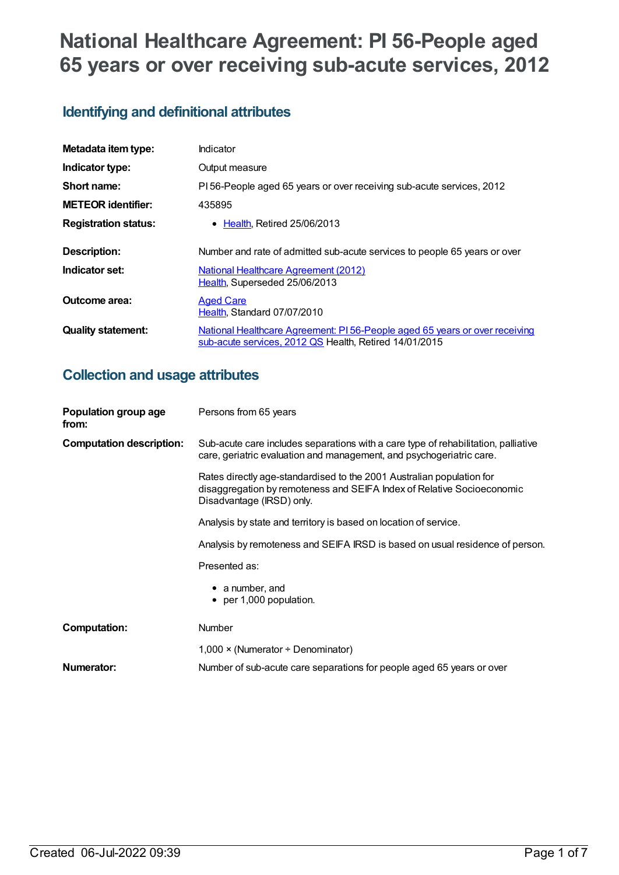# **National Healthcare Agreement: PI 56-People aged 65 years or over receiving sub-acute services, 2012**

# **Identifying and definitional attributes**

| Metadata item type:         | <b>Indicator</b>                                                                                                                      |
|-----------------------------|---------------------------------------------------------------------------------------------------------------------------------------|
| Indicator type:             | Output measure                                                                                                                        |
| Short name:                 | PI 56-People aged 65 years or over receiving sub-acute services, 2012                                                                 |
| <b>METEOR identifier:</b>   | 435895                                                                                                                                |
| <b>Registration status:</b> | • Health, Retired 25/06/2013                                                                                                          |
| <b>Description:</b>         | Number and rate of admitted sub-acute services to people 65 years or over                                                             |
| Indicator set:              | <b>National Healthcare Agreement (2012)</b><br>Health, Superseded 25/06/2013                                                          |
| Outcome area:               | <b>Aged Care</b><br>Health, Standard 07/07/2010                                                                                       |
| <b>Quality statement:</b>   | National Healthcare Agreement: PI 56-People aged 65 years or over receiving<br>sub-acute services, 2012 QS Health, Retired 14/01/2015 |

# **Collection and usage attributes**

| Population group age<br>from:   | Persons from 65 years                                                                                                                                                        |  |
|---------------------------------|------------------------------------------------------------------------------------------------------------------------------------------------------------------------------|--|
| <b>Computation description:</b> | Sub-acute care includes separations with a care type of rehabilitation, palliative<br>care, geriatric evaluation and management, and psychogeriatric care.                   |  |
|                                 | Rates directly age-standardised to the 2001 Australian population for<br>disaggregation by remoteness and SEIFA Index of Relative Socioeconomic<br>Disadvantage (IRSD) only. |  |
|                                 | Analysis by state and territory is based on location of service.                                                                                                             |  |
|                                 | Analysis by remoteness and SEIFA IRSD is based on usual residence of person.                                                                                                 |  |
|                                 | Presented as:                                                                                                                                                                |  |
|                                 | $\bullet$ a number, and<br>$\bullet$ per 1,000 population.                                                                                                                   |  |
| <b>Computation:</b>             | <b>Number</b>                                                                                                                                                                |  |
|                                 | $1,000 \times (Numerator + Denominator)$                                                                                                                                     |  |
| Numerator:                      | Number of sub-acute care separations for people aged 65 years or over                                                                                                        |  |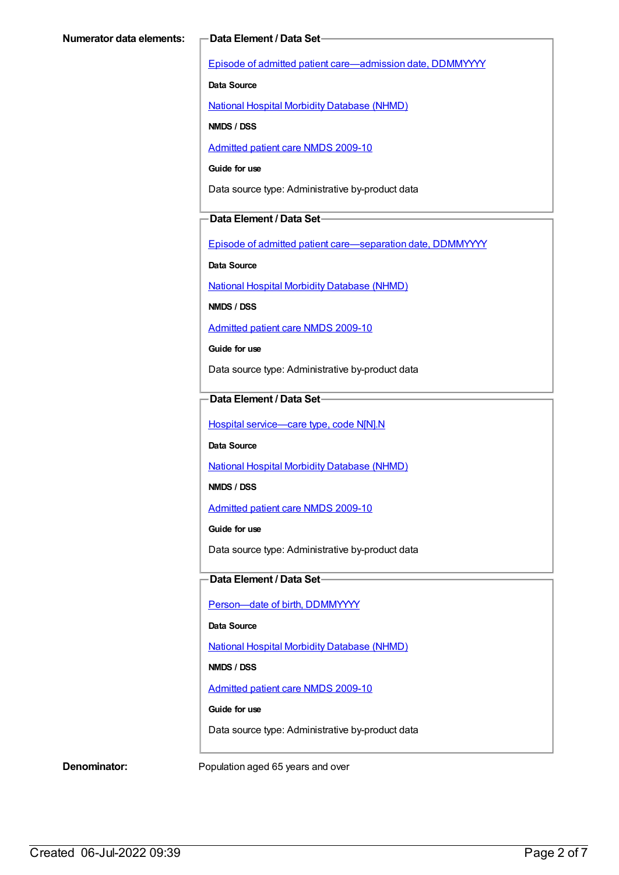Episode of admitted patient [care—admission](https://meteor.aihw.gov.au/content/269967) date, DDMMYYYY

**Data Source**

National Hospital Morbidity [Database](https://meteor.aihw.gov.au/content/394352) (NHMD)

**NMDS / DSS**

[Admitted](https://meteor.aihw.gov.au/content/374205) patient care NMDS 2009-10

**Guide for use**

Data source type: Administrative by-product data

#### **Data Element / Data Set**

Episode of admitted patient [care—separation](https://meteor.aihw.gov.au/content/270025) date, DDMMYYYY

**Data Source**

National Hospital Morbidity [Database](https://meteor.aihw.gov.au/content/394352) (NHMD)

**NMDS / DSS**

[Admitted](https://meteor.aihw.gov.au/content/374205) patient care NMDS 2009-10

**Guide for use**

Data source type: Administrative by-product data

### **Data Element / Data Set**

Hospital [service—care](https://meteor.aihw.gov.au/content/270174) type, code N[N].N

**Data Source**

National Hospital Morbidity [Database](https://meteor.aihw.gov.au/content/394352) (NHMD)

**NMDS / DSS**

[Admitted](https://meteor.aihw.gov.au/content/374205) patient care NMDS 2009-10

**Guide for use**

Data source type: Administrative by-product data

#### **Data Element / Data Set**

Person-date of birth, DDMMYYYY

**Data Source**

National Hospital Morbidity [Database](https://meteor.aihw.gov.au/content/394352) (NHMD)

**NMDS / DSS**

[Admitted](https://meteor.aihw.gov.au/content/374205) patient care NMDS 2009-10

**Guide for use**

Data source type: Administrative by-product data

**Denominator:** Population aged 65 years and over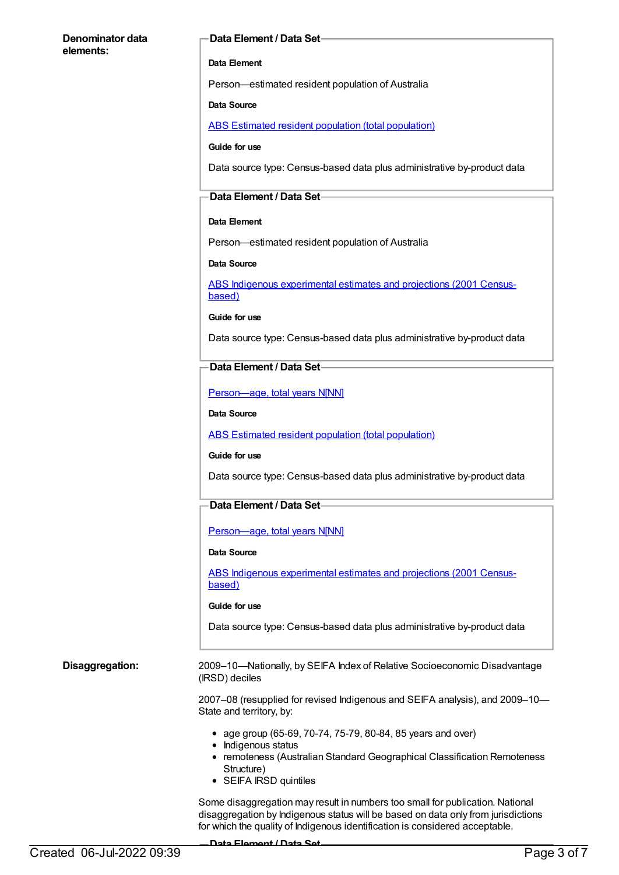#### **Denominator data elements:**

#### **Data Element / Data Set**

#### **Data Element**

Person—estimated resident population of Australia

#### **Data Source**

ABS Estimated resident population (total [population\)](https://meteor.aihw.gov.au/content/393625)

#### **Guide for use**

Data source type: Census-based data plus administrative by-product data

#### **Data Element / Data Set**

#### **Data Element**

Person—estimated resident population of Australia

#### **Data Source**

ABS Indigenous [experimental](https://meteor.aihw.gov.au/content/394092) estimates and projections (2001 Censusbased)

#### **Guide for use**

Data source type: Census-based data plus administrative by-product data

#### **Data Element / Data Set**

[Person—age,](https://meteor.aihw.gov.au/content/303794) total years N[NN]

#### **Data Source**

ABS Estimated resident population (total [population\)](https://meteor.aihw.gov.au/content/393625)

#### **Guide for use**

Data source type: Census-based data plus administrative by-product data

#### **Data Element / Data Set**

[Person—age,](https://meteor.aihw.gov.au/content/303794) total years N[NN]

#### **Data Source**

ABS Indigenous [experimental](https://meteor.aihw.gov.au/content/394092) estimates and projections (2001 Censusbased)

#### **Guide for use**

Data source type: Census-based data plus administrative by-product data

**Disaggregation:** 2009–10—Nationally, by SEIFA Index of Relative Socioeconomic Disadvantage (IRSD) deciles

> 2007–08 (resupplied for revised Indigenous and SEIFA analysis), and 2009–10— State and territory, by:

- age group (65-69, 70-74, 75-79, 80-84, 85 years and over)
- Indigenous status
- remoteness (Australian Standard Geographical Classification Remoteness Structure)
- SEIFA IRSD quintiles

Some disaggregation may result in numbers too small for publication. National disaggregation by Indigenous status will be based on data only from jurisdictions for which the quality of Indigenous identification is considered acceptable.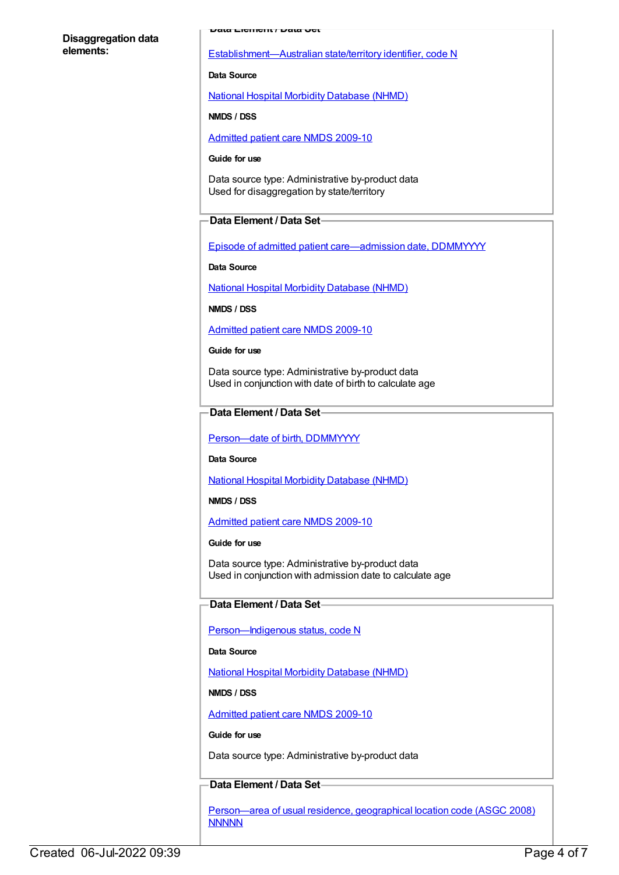#### **Disaggregation data elements:**

**Data Element / Data Set**

[Establishment—Australian](https://meteor.aihw.gov.au/content/269941) state/territory identifier, code N

#### **Data Source**

National Hospital Morbidity [Database](https://meteor.aihw.gov.au/content/394352) (NHMD)

**NMDS / DSS**

[Admitted](https://meteor.aihw.gov.au/content/374205) patient care NMDS 2009-10

**Guide for use**

Data source type: Administrative by-product data Used for disaggregation by state/territory

### **Data Element / Data Set**

Episode of admitted patient [care—admission](https://meteor.aihw.gov.au/content/269967) date, DDMMYYYY

**Data Source**

National Hospital Morbidity [Database](https://meteor.aihw.gov.au/content/394352) (NHMD)

**NMDS / DSS**

[Admitted](https://meteor.aihw.gov.au/content/374205) patient care NMDS 2009-10

**Guide for use**

Data source type: Administrative by-product data Used in conjunction with date of birth to calculate age

#### **Data Element / Data Set**

[Person—date](https://meteor.aihw.gov.au/content/287007) of birth, DDMMYYYY

**Data Source**

National Hospital Morbidity [Database](https://meteor.aihw.gov.au/content/394352) (NHMD)

**NMDS / DSS**

[Admitted](https://meteor.aihw.gov.au/content/374205) patient care NMDS 2009-10

**Guide for use**

Data source type: Administrative by-product data Used in conjunction with admission date to calculate age

### **Data Element / Data Set**

Person-Indigenous status, code N

**Data Source**

National Hospital Morbidity [Database](https://meteor.aihw.gov.au/content/394352) (NHMD)

**NMDS / DSS**

[Admitted](https://meteor.aihw.gov.au/content/374205) patient care NMDS 2009-10

**Guide for use**

Data source type: Administrative by-product data

#### **Data Element / Data Set**

[Person—area](https://meteor.aihw.gov.au/content/377103) of usual residence, geographical location code (ASGC 2008) **NNNNN**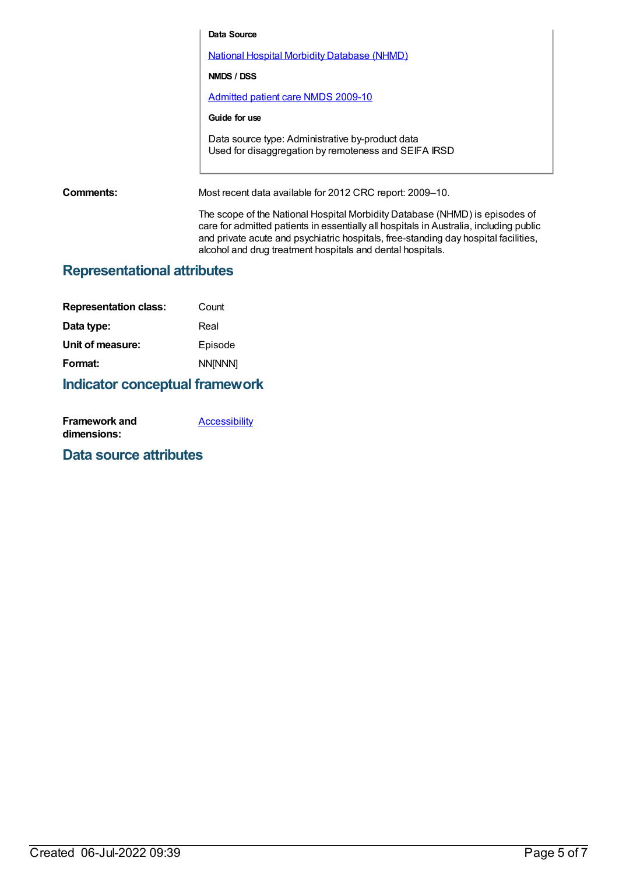**Data Source** National Hospital Morbidity [Database](https://meteor.aihw.gov.au/content/394352) (NHMD) **NMDS / DSS** [Admitted](https://meteor.aihw.gov.au/content/374205) patient care NMDS 2009-10 **Guide for use** Data source type: Administrative by-product data Used for disaggregation by remoteness and SEIFA IRSD **Comments:** Most recent data available for 2012 CRC report: 2009–10. The scope of the National Hospital Morbidity Database (NHMD) is episodes of care for admitted patients in essentially all hospitals in Australia, including public and private acute and psychiatric hospitals, free-standing day hospital facilities,

alcohol and drug treatment hospitals and dental hospitals.

# **Representational attributes**

| <b>Representation class:</b> | Count          |
|------------------------------|----------------|
| Data type:                   | Real           |
| Unit of measure:             | Episode        |
| Format:                      | <b>NN[NNN]</b> |

# **Indicator conceptual framework**

| <b>Framework and</b> | <b>Accessibility</b> |
|----------------------|----------------------|
| dimensions:          |                      |

## **Data source attributes**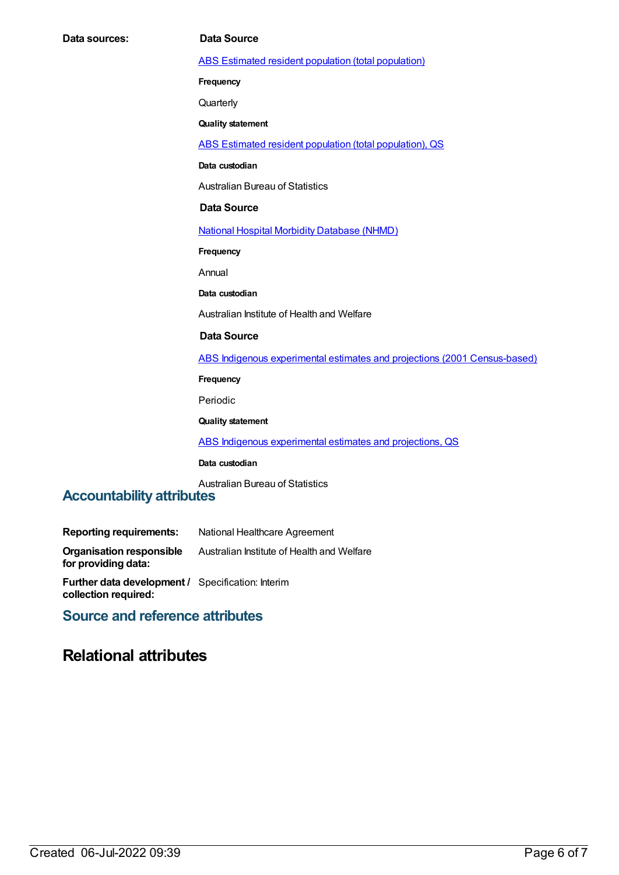ABS Estimated resident population (total [population\)](https://meteor.aihw.gov.au/content/393625)

**Frequency**

**Quarterly** 

**Quality statement**

ABS Estimated resident population (total [population\),](https://meteor.aihw.gov.au/content/449216) QS

**Data custodian**

Australian Bureau of Statistics

#### **Data Source**

National Hospital Morbidity [Database](https://meteor.aihw.gov.au/content/394352) (NHMD)

**Frequency**

Annual

**Data custodian**

Australian Institute of Health and Welfare

#### **Data Source**

ABS Indigenous experimental estimates and projections (2001 [Census-based\)](https://meteor.aihw.gov.au/content/394092)

**Frequency**

Periodic

**Quality statement**

ABS Indigenous [experimental](https://meteor.aihw.gov.au/content/449223) estimates and projections, QS

#### **Data custodian**

Australian Bureau of Statistics

## **Accountability attributes**

| <b>Reporting requirements:</b>                                                   | National Healthcare Agreement              |
|----------------------------------------------------------------------------------|--------------------------------------------|
| <b>Organisation responsible</b><br>for providing data:                           | Australian Institute of Health and Welfare |
| <b>Further data development / Specification: Interim</b><br>collection required: |                                            |

## **Source and reference attributes**

# **Relational attributes**